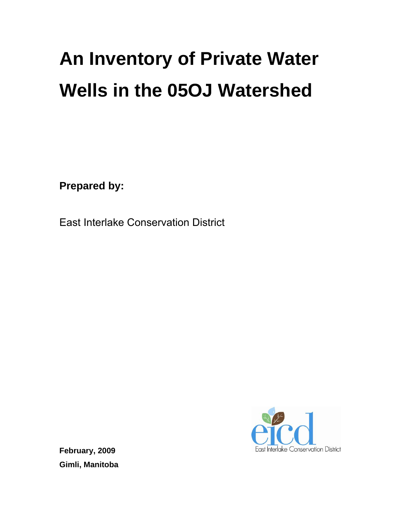# **An Inventory of Private Water Wells in the 05OJ Watershed**

**Prepared by:** 

East Interlake Conservation District



**February, 2009 Gimli, Manitoba**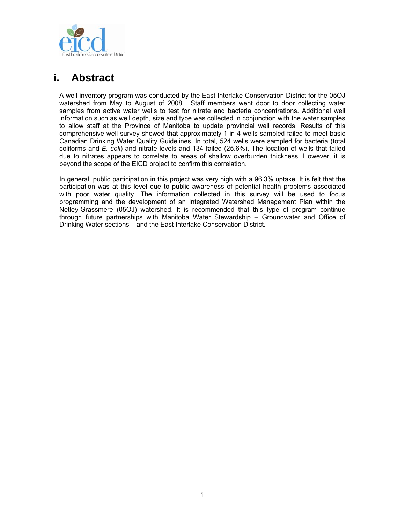<span id="page-2-0"></span>

# **i. Abstract**

A well inventory program was conducted by the East Interlake Conservation District for the 05OJ watershed from May to August of 2008. Staff members went door to door collecting water samples from active water wells to test for nitrate and bacteria concentrations. Additional well information such as well depth, size and type was collected in conjunction with the water samples to allow staff at the Province of Manitoba to update provincial well records. Results of this comprehensive well survey showed that approximately 1 in 4 wells sampled failed to meet basic Canadian Drinking Water Quality Guidelines. In total, 524 wells were sampled for bacteria (total coliforms and *E. coli*) and nitrate levels and 134 failed (25.6%). The location of wells that failed due to nitrates appears to correlate to areas of shallow overburden thickness. However, it is beyond the scope of the EICD project to confirm this correlation.

In general, public participation in this project was very high with a 96.3% uptake. It is felt that the participation was at this level due to public awareness of potential health problems associated with poor water quality. The information collected in this survey will be used to focus programming and the development of an Integrated Watershed Management Plan within the Netley-Grassmere (05OJ) watershed. It is recommended that this type of program continue through future partnerships with Manitoba Water Stewardship – Groundwater and Office of Drinking Water sections – and the East Interlake Conservation District.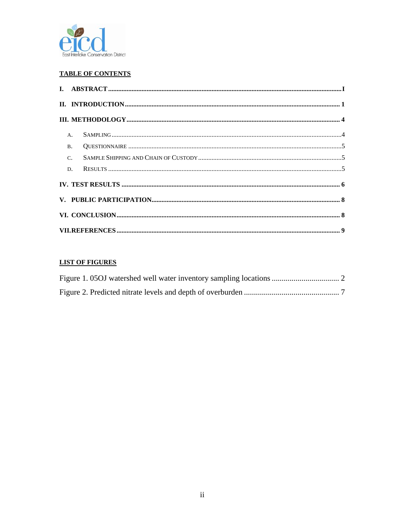

#### **TABLE OF CONTENTS**

|           | <b>A.</b>   |  |  |  |
|-----------|-------------|--|--|--|
| <b>B.</b> |             |  |  |  |
|           | $C_{\cdot}$ |  |  |  |
|           |             |  |  |  |
|           |             |  |  |  |
|           |             |  |  |  |
|           |             |  |  |  |
|           |             |  |  |  |

#### **LIST OF FIGURES**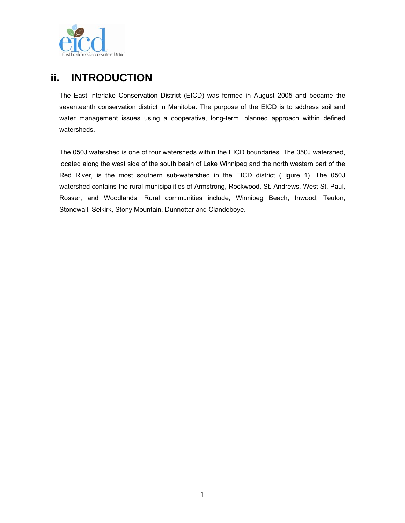<span id="page-4-0"></span>

# **ii. INTRODUCTION**

The East Interlake Conservation District (EICD) was formed in August 2005 and became the seventeenth conservation district in Manitoba. The purpose of the EICD is to address soil and water management issues using a cooperative, long-term, planned approach within defined watersheds.

The 050J watershed is one of four watersheds within the EICD boundaries. The 050J watershed, located along the west side of the south basin of Lake Winnipeg and the north western part of the Red River, is the most southern sub-watershed in the EICD district (Figure 1). The 050J watershed contains the rural municipalities of Armstrong, Rockwood, St. Andrews, West St. Paul, Rosser, and Woodlands. Rural communities include, Winnipeg Beach, Inwood, Teulon, Stonewall, Selkirk, Stony Mountain, Dunnottar and Clandeboye.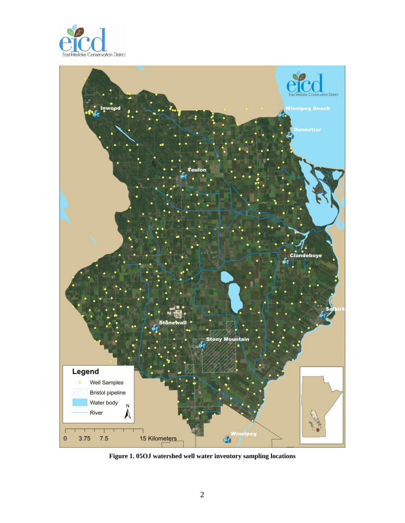<span id="page-5-0"></span>



**Figure 1. 05OJ watershed well water inventory sampling locations**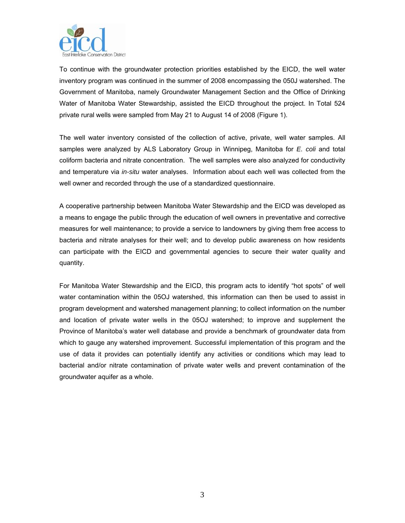

To continue with the groundwater protection priorities established by the EICD, the well water inventory program was continued in the summer of 2008 encompassing the 050J watershed. The Government of Manitoba, namely Groundwater Management Section and the Office of Drinking Water of Manitoba Water Stewardship, assisted the EICD throughout the project. In Total 524 private rural wells were sampled from May 21 to August 14 of 2008 (Figure 1).

The well water inventory consisted of the collection of active, private, well water samples. All samples were analyzed by ALS Laboratory Group in Winnipeg, Manitoba for *E. coli* and total coliform bacteria and nitrate concentration. The well samples were also analyzed for conductivity and temperature via *in-situ* water analyses. Information about each well was collected from the well owner and recorded through the use of a standardized questionnaire.

A cooperative partnership between Manitoba Water Stewardship and the EICD was developed as a means to engage the public through the education of well owners in preventative and corrective measures for well maintenance; to provide a service to landowners by giving them free access to bacteria and nitrate analyses for their well; and to develop public awareness on how residents can participate with the EICD and governmental agencies to secure their water quality and quantity.

For Manitoba Water Stewardship and the EICD, this program acts to identify "hot spots" of well water contamination within the 05OJ watershed, this information can then be used to assist in program development and watershed management planning; to collect information on the number and location of private water wells in the 05OJ watershed; to improve and supplement the Province of Manitoba's water well database and provide a benchmark of groundwater data from which to gauge any watershed improvement. Successful implementation of this program and the use of data it provides can potentially identify any activities or conditions which may lead to bacterial and/or nitrate contamination of private water wells and prevent contamination of the groundwater aquifer as a whole.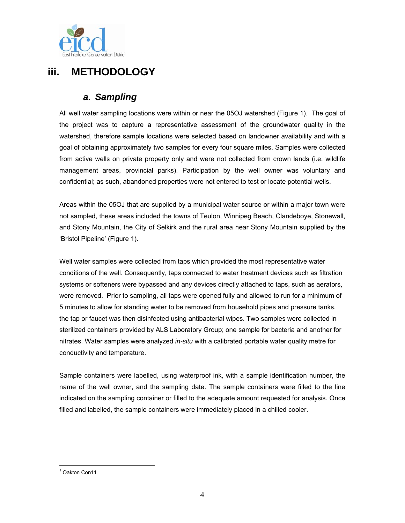<span id="page-7-0"></span>

# **iii. METHODOLOGY**

#### *a. Sampling*

All well water sampling locations were within or near the 05OJ watershed (Figure 1). The goal of the project was to capture a representative assessment of the groundwater quality in the watershed, therefore sample locations were selected based on landowner availability and with a goal of obtaining approximately two samples for every four square miles. Samples were collected from active wells on private property only and were not collected from crown lands (i.e. wildlife management areas, provincial parks). Participation by the well owner was voluntary and confidential; as such, abandoned properties were not entered to test or locate potential wells.

Areas within the 05OJ that are supplied by a municipal water source or within a major town were not sampled, these areas included the towns of Teulon, Winnipeg Beach, Clandeboye, Stonewall, and Stony Mountain, the City of Selkirk and the rural area near Stony Mountain supplied by the 'Bristol Pipeline' (Figure 1).

Well water samples were collected from taps which provided the most representative water conditions of the well. Consequently, taps connected to water treatment devices such as filtration systems or softeners were bypassed and any devices directly attached to taps, such as aerators, were removed. Prior to sampling, all taps were opened fully and allowed to run for a minimum of 5 minutes to allow for standing water to be removed from household pipes and pressure tanks, the tap or faucet was then disinfected using antibacterial wipes. Two samples were collected in sterilized containers provided by ALS Laboratory Group; one sample for bacteria and another for nitrates. Water samples were analyzed *in-situ* with a calibrated portable water quality metre for conductivity and temperature. $1$ 

Sample containers were labelled, using waterproof ink, with a sample identification number, the name of the well owner, and the sampling date. The sample containers were filled to the line indicated on the sampling container or filled to the adequate amount requested for analysis. Once filled and labelled, the sample containers were immediately placed in a chilled cooler.

<span id="page-7-1"></span> 1 Oakton Con11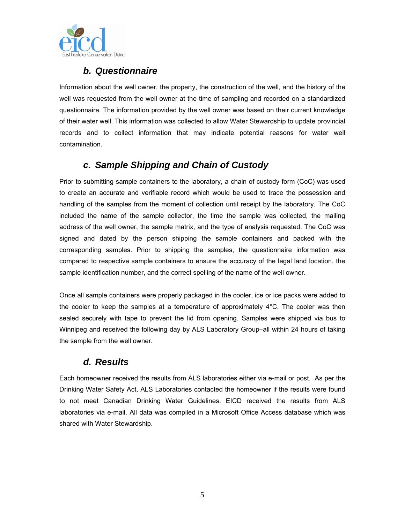<span id="page-8-0"></span>

## *b. Questionnaire*

Information about the well owner, the property, the construction of the well, and the history of the well was requested from the well owner at the time of sampling and recorded on a standardized questionnaire. The information provided by the well owner was based on their current knowledge of their water well. This information was collected to allow Water Stewardship to update provincial records and to collect information that may indicate potential reasons for water well contamination.

### *c. Sample Shipping and Chain of Custody*

Prior to submitting sample containers to the laboratory, a chain of custody form (CoC) was used to create an accurate and verifiable record which would be used to trace the possession and handling of the samples from the moment of collection until receipt by the laboratory. The CoC included the name of the sample collector, the time the sample was collected, the mailing address of the well owner, the sample matrix, and the type of analysis requested. The CoC was signed and dated by the person shipping the sample containers and packed with the corresponding samples. Prior to shipping the samples, the questionnaire information was compared to respective sample containers to ensure the accuracy of the legal land location, the sample identification number, and the correct spelling of the name of the well owner.

Once all sample containers were properly packaged in the cooler, ice or ice packs were added to the cooler to keep the samples at a temperature of approximately  $4^{\circ}$ C. The cooler was then sealed securely with tape to prevent the lid from opening. Samples were shipped via bus to Winnipeg and received the following day by ALS Laboratory Group–all within 24 hours of taking the sample from the well owner.

#### *d. Results*

Each homeowner received the results from ALS laboratories either via e-mail or post. As per the Drinking Water Safety Act, ALS Laboratories contacted the homeowner if the results were found to not meet Canadian Drinking Water Guidelines. EICD received the results from ALS laboratories via e-mail. All data was compiled in a Microsoft Office Access database which was shared with Water Stewardship.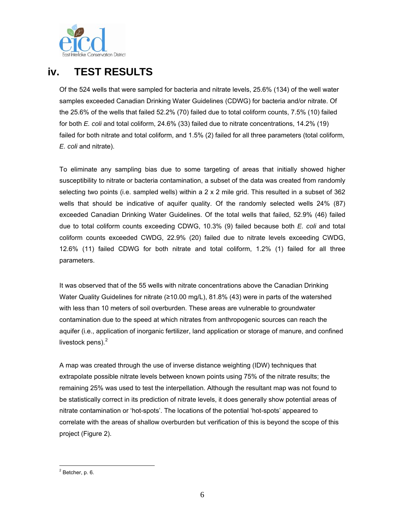<span id="page-9-0"></span>

# **iv. TEST RESULTS**

Of the 524 wells that were sampled for bacteria and nitrate levels, 25.6% (134) of the well water samples exceeded Canadian Drinking Water Guidelines (CDWG) for bacteria and/or nitrate. Of the 25.6% of the wells that failed 52.2% (70) failed due to total coliform counts, 7.5% (10) failed for both *E. coli* and total coliform, 24.6% (33) failed due to nitrate concentrations, 14.2% (19) failed for both nitrate and total coliform, and 1.5% (2) failed for all three parameters (total coliform, *E. coli* and nitrate).

To eliminate any sampling bias due to some targeting of areas that initially showed higher susceptibility to nitrate or bacteria contamination, a subset of the data was created from randomly selecting two points (i.e. sampled wells) within a 2 x 2 mile grid. This resulted in a subset of 362 wells that should be indicative of aquifer quality. Of the randomly selected wells 24% (87) exceeded Canadian Drinking Water Guidelines. Of the total wells that failed, 52.9% (46) failed due to total coliform counts exceeding CDWG, 10.3% (9) failed because both *E. coli* and total coliform counts exceeded CWDG, 22.9% (20) failed due to nitrate levels exceeding CWDG, 12.6% (11) failed CDWG for both nitrate and total coliform, 1.2% (1) failed for all three parameters.

It was observed that of the 55 wells with nitrate concentrations above the Canadian Drinking Water Quality Guidelines for nitrate (≥10.00 mg/L), 81.8% (43) were in parts of the watershed with less than 10 meters of soil overburden. These areas are vulnerable to groundwater contamination due to the speed at which nitrates from anthropogenic sources can reach the aquifer (i.e., application of inorganic fertilizer, land application or storage of manure, and confined livestock pens). $2$ 

A map was created through the use of inverse distance weighting (IDW) techniques that extrapolate possible nitrate levels between known points using 75% of the nitrate results; the remaining 25% was used to test the interpellation. Although the resultant map was not found to be statistically correct in its prediction of nitrate levels, it does generally show potential areas of nitrate contamination or 'hot-spots'. The locations of the potential 'hot-spots' appeared to correlate with the areas of shallow overburden but verification of this is beyond the scope of this project (Figure 2).

<span id="page-9-1"></span> $\frac{1}{2}$ Betcher, p. 6.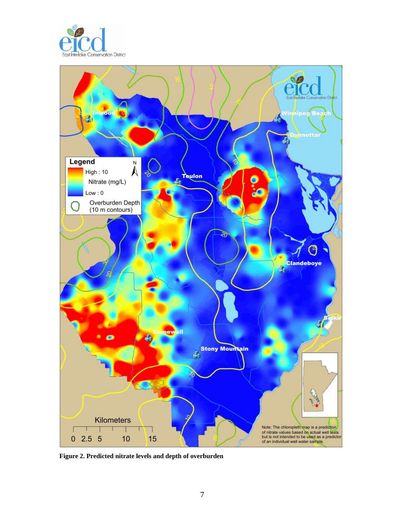<span id="page-10-0"></span>



**Figure 2. Predicted nitrate levels and depth of overburden**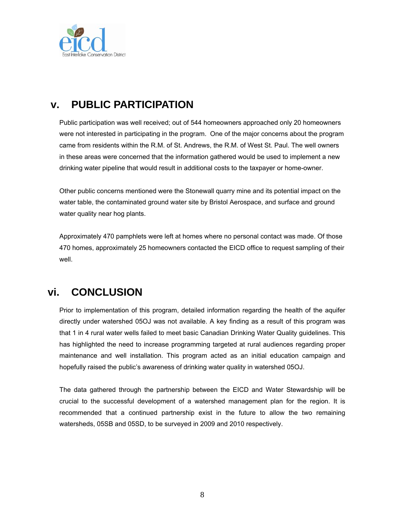<span id="page-11-0"></span>

# **v. PUBLIC PARTICIPATION**

Public participation was well received; out of 544 homeowners approached only 20 homeowners were not interested in participating in the program. One of the major concerns about the program came from residents within the R.M. of St. Andrews, the R.M. of West St. Paul. The well owners in these areas were concerned that the information gathered would be used to implement a new drinking water pipeline that would result in additional costs to the taxpayer or home-owner.

Other public concerns mentioned were the Stonewall quarry mine and its potential impact on the water table, the contaminated ground water site by Bristol Aerospace, and surface and ground water quality near hog plants.

Approximately 470 pamphlets were left at homes where no personal contact was made. Of those 470 homes, approximately 25 homeowners contacted the EICD office to request sampling of their well.

# **vi. CONCLUSION**

Prior to implementation of this program, detailed information regarding the health of the aquifer directly under watershed 05OJ was not available. A key finding as a result of this program was that 1 in 4 rural water wells failed to meet basic Canadian Drinking Water Quality guidelines. This has highlighted the need to increase programming targeted at rural audiences regarding proper maintenance and well installation. This program acted as an initial education campaign and hopefully raised the public's awareness of drinking water quality in watershed 05OJ.

The data gathered through the partnership between the EICD and Water Stewardship will be crucial to the successful development of a watershed management plan for the region. It is recommended that a continued partnership exist in the future to allow the two remaining watersheds, 05SB and 05SD, to be surveyed in 2009 and 2010 respectively.